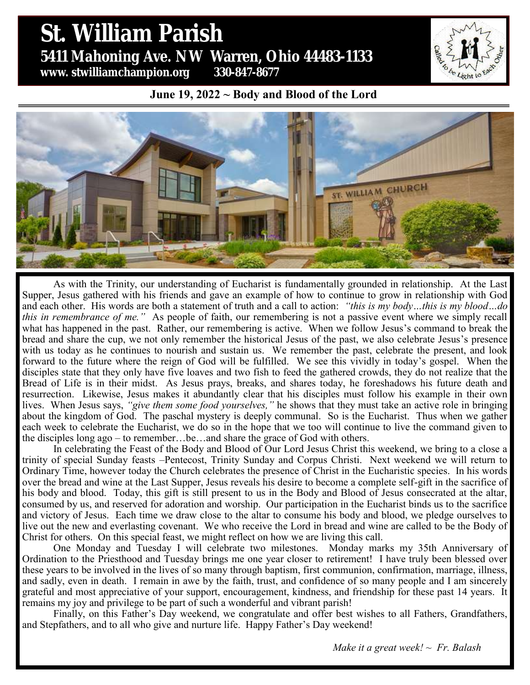# St. William Parish **St. William Parish** 5431 Mahoning Ave. NW Warren, Ohio 44483 **5411 Mahoning Ave. NW Warren, Ohio 44483-1133 www. stwilliamchampion.org 330-847-8677**

#### **June 19, 2022 ~ Body and Blood of the Lord**



As with the Trinity, our understanding of Eucharist is fundamentally grounded in relationship. At the Last Supper, Jesus gathered with his friends and gave an example of how to continue to grow in relationship with God and each other. His words are both a statement of truth and a call to action: *"this is my body…this is my blood…do this in remembrance of me."* As people of faith, our remembering is not a passive event where we simply recall what has happened in the past. Rather, our remembering is active. When we follow Jesus's command to break the bread and share the cup, we not only remember the historical Jesus of the past, we also celebrate Jesus's presence with us today as he continues to nourish and sustain us. We remember the past, celebrate the present, and look forward to the future where the reign of God will be fulfilled. We see this vividly in today's gospel. When the disciples state that they only have five loaves and two fish to feed the gathered crowds, they do not realize that the Bread of Life is in their midst. As Jesus prays, breaks, and shares today, he foreshadows his future death and resurrection. Likewise, Jesus makes it abundantly clear that his disciples must follow his example in their own lives. When Jesus says, *"give them some food yourselves,"* he shows that they must take an active role in bringing about the kingdom of God. The paschal mystery is deeply communal. So is the Eucharist. Thus when we gather each week to celebrate the Eucharist, we do so in the hope that we too will continue to live the command given to the disciples long ago – to remember…be…and share the grace of God with others.

In celebrating the Feast of the Body and Blood of Our Lord Jesus Christ this weekend, we bring to a close a trinity of special Sunday feasts –Pentecost, Trinity Sunday and Corpus Christi. Next weekend we will return to Ordinary Time, however today the Church celebrates the presence of Christ in the Eucharistic species. In his words over the bread and wine at the Last Supper, Jesus reveals his desire to become a complete self-gift in the sacrifice of his body and blood. Today, this gift is still present to us in the Body and Blood of Jesus consecrated at the altar, consumed by us, and reserved for adoration and worship. Our participation in the Eucharist binds us to the sacrifice and victory of Jesus. Each time we draw close to the altar to consume his body and blood, we pledge ourselves to live out the new and everlasting covenant. We who receive the Lord in bread and wine are called to be the Body of Christ for others. On this special feast, we might reflect on how we are living this call.

One Monday and Tuesday I will celebrate two milestones. Monday marks my 35th Anniversary of Ordination to the Priesthood and Tuesday brings me one year closer to retirement! I have truly been blessed over these years to be involved in the lives of so many through baptism, first communion, confirmation, marriage, illness, and sadly, even in death. I remain in awe by the faith, trust, and confidence of so many people and I am sincerely grateful and most appreciative of your support, encouragement, kindness, and friendship for these past 14 years. It remains my joy and privilege to be part of such a wonderful and vibrant parish!

Finally, on this Father's Day weekend, we congratulate and offer best wishes to all Fathers, Grandfathers, and Stepfathers, and to all who give and nurture life. Happy Father's Day weekend!

*Make it a great week! ~ Fr. Balash*

Light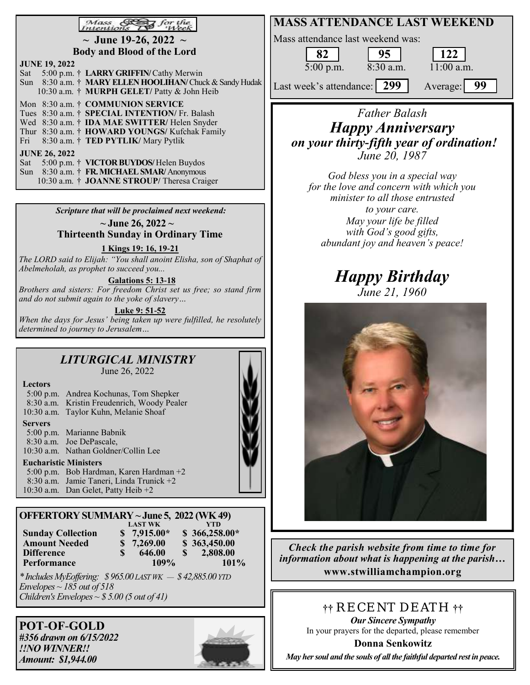#### $Mass \mathcal{F}$  $\mathcal{F}$  for the

**~ June 19-26, 2022 ~ Body and Blood of the Lord**

| <b>JUNE 19, 2022</b> |  |                                                          |  |  |  |  |  |  |
|----------------------|--|----------------------------------------------------------|--|--|--|--|--|--|
|                      |  | Sat 5:00 p.m. † LARRY GRIFFIN/ Cathy Merwin              |  |  |  |  |  |  |
|                      |  | Sun 8:30 a.m. † MARY ELLEN HOOLIHAN/ Chuck & Sandy Hudak |  |  |  |  |  |  |
|                      |  | 10:30 a.m. † MURPH GELET/ Patty & John Heib              |  |  |  |  |  |  |
|                      |  | Mon 8:30 a.m. † COMMUNION SERVICE                        |  |  |  |  |  |  |
|                      |  | Tues 8:30 a.m. † SPECIAL INTENTION/ Fr. Balash           |  |  |  |  |  |  |
|                      |  | Wed 8:30 a.m. † <b>IDA MAE SWITTER</b> / Helen Snyder    |  |  |  |  |  |  |
|                      |  | Thur 8:30 a.m. † HOWARD YOUNGS/ Kufchak Family           |  |  |  |  |  |  |
|                      |  | Fri 8:30 a.m. † TED PYTLIK/ Mary Pytlik                  |  |  |  |  |  |  |
| <b>JUNE 26, 2022</b> |  |                                                          |  |  |  |  |  |  |
|                      |  | Sat 5:00 p.m. † VICTOR BUYDOS/ Helen Buydos              |  |  |  |  |  |  |
|                      |  | Sun 8:30 a.m. † FR. MICHAEL SMAR/ Anonymous              |  |  |  |  |  |  |
|                      |  | 10:30 a.m. † JOANNE STROUP/Theresa Craiger               |  |  |  |  |  |  |

*Scripture that will be proclaimed next weekend:*

**~ June 26, 2022 ~ Thirteenth Sunday in Ordinary Time**

**1 Kings 19: 16, 19-21**

*The LORD said to Elijah: "You shall anoint Elisha, son of Shaphat of Abelmeholah, as prophet to succeed you...*

**Galations 5: 13-18**

*Brothers and sisters: For freedom Christ set us free; so stand firm and do not submit again to the yoke of slavery…*

**Luke 9: 51-52**

*When the days for Jesus' being taken up were fulfilled, he resolutely determined to journey to Jerusalem…*

#### *LITURGICAL MINISTRY*  June 26, 2022

| <b>Lectors</b> |
|----------------|
| $\epsilon$ 00  |

5:00 p.m. Andrea Kochunas, Tom Shepker 8:30 a.m. Kristin Freudenrich, Woody Pealer 10:30 a.m. Taylor Kuhn, Melanie Shoaf

**Servers**

5:00 p.m. Marianne Babnik 8:30 a.m. Joe DePascale, 10:30 a.m. Nathan Goldner/Collin Lee

#### **Eucharistic Ministers**

5:00 p.m. Bob Hardman, Karen Hardman +2 8:30 a.m. Jamie Taneri, Linda Trunick +2 10:30 a.m. Dan Gelet, Patty Heib +2

| OFFERTORY SUMMARY ~ June 5, 2022 (WK 49) |  |                |     |                |  |  |  |  |  |
|------------------------------------------|--|----------------|-----|----------------|--|--|--|--|--|
|                                          |  | <b>LAST WK</b> |     | YTD            |  |  |  |  |  |
| <b>Sunday Collection</b>                 |  | $$7,915.00*$   |     | $$366,258.00*$ |  |  |  |  |  |
| <b>Amount Needed</b>                     |  | \$7,269.00     |     | \$363,450.00   |  |  |  |  |  |
| <b>Difference</b>                        |  | 646.00         | SS. | 2,808.00       |  |  |  |  |  |

**Performance** 109% 101% *\* Includes MyEoffering: \$ 965.00 LAST WK — \$ 42,885.00 YTD*

*Envelopes ~ 185 out of 518 Children's Envelopes ~ \$ 5.00 (5 out of 41)*

**POT**-**OF**-**GOLD** *#356 drawn on 6/15/2022 !!NO WINNER!! Amount: \$1,944.00*





# *Father Balash Happy Anniversary on your thirty-fifth year of ordination! June 20, 1987*

*God bless you in a special way for the love and concern with which you minister to all those entrusted to your care. May your life be filled with God's good gifts, abundant joy and heaven's peace!*

# *Happy Birthday June 21, 1960*



*Check the parish website from time to time for information about what is happening at the parish…* **www.stwilliamchampion.org**

**††** RECENT DEATH **††**

*Our Sincere Sympathy* In your prayers for the departed, please remember

**Donna Senkowitz**

*May her soul and the souls of all the faithful departed rest in peace.*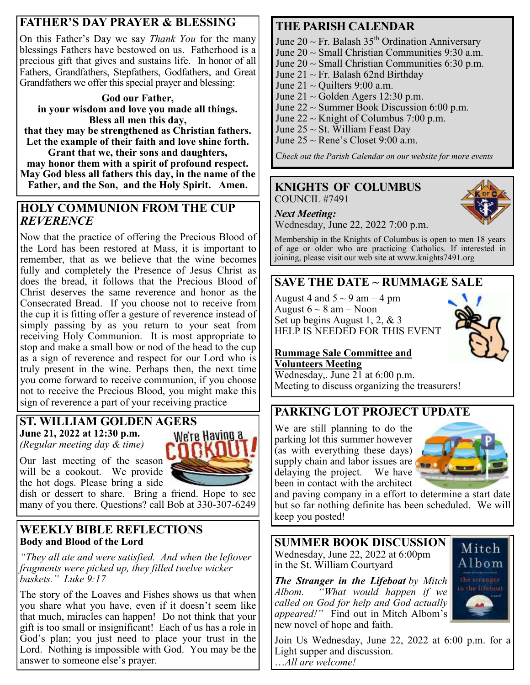# **FATHER'S DAY PRAYER & BLESSING**

On this Father's Day we say *Thank You* for the many blessings Fathers have bestowed on us. Fatherhood is a precious gift that gives and sustains life. In honor of all Fathers, Grandfathers, Stepfathers, Godfathers, and Great Grandfathers we offer this special prayer and blessing:

#### **God our Father, in your wisdom and love you made all things. Bless all men this day,**

**that they may be strengthened as Christian fathers. Let the example of their faith and love shine forth.**

**Grant that we, their sons and daughters, may honor them with a spirit of profound respect. May God bless all fathers this day, in the name of the Father, and the Son, and the Holy Spirit. Amen.**

### **HOLY COMMUNION FROM THE CUP**  *REVERENCE*

Now that the practice of offering the Precious Blood of the Lord has been restored at Mass, it is important to remember, that as we believe that the wine becomes fully and completely the Presence of Jesus Christ as does the bread, it follows that the Precious Blood of Christ deserves the same reverence and honor as the Consecrated Bread. If you choose not to receive from the cup it is fitting offer a gesture of reverence instead of simply passing by as you return to your seat from receiving Holy Communion. It is most appropriate to stop and make a small bow or nod of the head to the cup as a sign of reverence and respect for our Lord who is truly present in the wine. Perhaps then, the next time you come forward to receive communion, if you choose not to receive the Precious Blood, you might make this sign of reverence a part of your receiving practice

#### **ST. WILLIAM GOLDEN AGERS June 21, 2022 at 12:30 p.m.**  We're Having a *(Regular meeting day & time)*

Our last meeting of the season will be a cookout. We provide the hot dogs. Please bring a side

dish or dessert to share. Bring a friend. Hope to see many of you there. Questions? call Bob at 330-307-6249

### **WEEKLY BIBLE REFLECTIONS Body and Blood of the Lord**

*"They all ate and were satisfied. And when the leftover fragments were picked up, they filled twelve wicker baskets." Luke 9:17*

The story of the Loaves and Fishes shows us that when you share what you have, even if it doesn't seem like that much, miracles can happen! Do not think that your gift is too small or insignificant! Each of us has a role in God's plan; you just need to place your trust in the Lord. Nothing is impossible with God. You may be the answer to someone else's prayer.

# **THE PARISH CALENDAR**

June 20  $\sim$  Fr. Balash 35<sup>th</sup> Ordination Anniversary

- June  $20 \sim$  Small Christian Communities 9:30 a.m.
- June  $20 \sim$  Small Christian Communities 6:30 p.m.
- June  $21 \sim Fr$ . Balash 62nd Birthday
- June  $21 \sim$  Quilters 9:00 a.m.
- June  $21 \sim$  Golden Agers 12:30 p.m.
- June  $22 \sim$  Summer Book Discussion 6:00 p.m.
- June  $22 \sim$  Knight of Columbus 7:00 p.m.
- June  $25 \sim St.$  William Feast Day
- June  $25 \sim$  Rene's Closet 9:00 a.m.

C*heck out the Parish Calendar on our website for more events*

#### **KNIGHTS OF COLUMBUS** COUNCIL #7491



Wednesday, June 22, 2022 7:00 p.m.

Membership in the Knights of Columbus is open to men 18 years of age or older who are practicing Catholics. If interested in joining, please visit our web site at www.knights7491.org

# **SAVE THE DATE ~ RUMMAGE SALE**

August 4 and  $5 \sim 9$  am  $-4$  pm August  $6 \sim 8$  am – Noon Set up begins August 1, 2, & 3 HELP IS NEEDED FOR THIS EVENT



#### **Rummage Sale Committee and Volunteers Meeting**

Wednesday,. June 21 at 6:00 p.m. Meeting to discuss organizing the treasurers!

# **PARKING LOT PROJECT UPDATE**

We are still planning to do the parking lot this summer however (as with everything these days) supply chain and labor issues are delaying the project. We have been in contact with the architect



and paving company in a effort to determine a start date but so far nothing definite has been scheduled. We will keep you posted!

**SUMMER BOOK DISCUSSION** Wednesday, June 22, 2022 at 6:00pm in the St. William Courtyard

*The Stranger in the Lifeboat by Mitch Albom. "What would happen if we called on God for help and God actually appeared!"* Find out in Mitch Albom's new novel of hope and faith.



Join Us Wednesday, June 22, 2022 at 6:00 p.m. for a Light supper and discussion. …*All are welcome!*